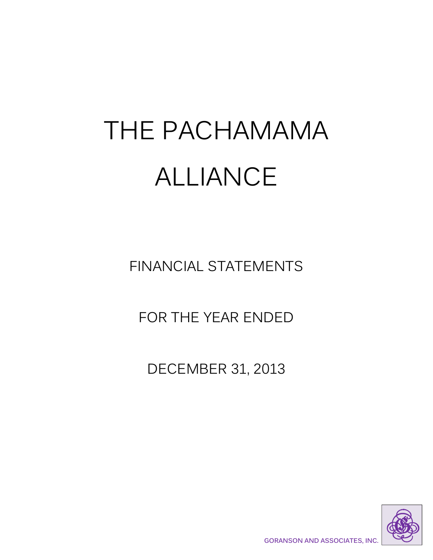# THE PACHAMAMA ALLIANCE

FINANCIAL STATEMENTS

FOR THE YEAR ENDED

DECEMBER 31, 2013

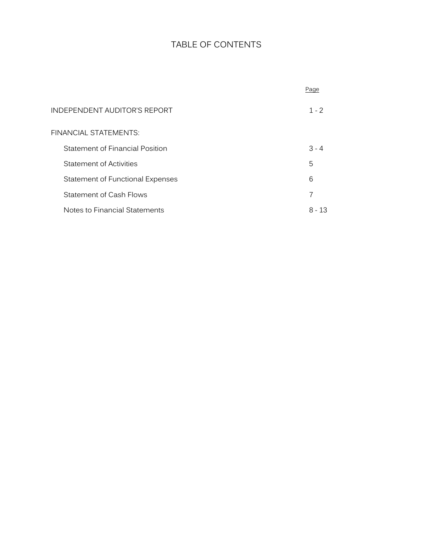# TABLE OF CONTENTS

|                                  | Page    |
|----------------------------------|---------|
| INDEPENDENT AUDITOR'S REPORT     | $1 - 2$ |
| FINANCIAL STATEMENTS:            |         |
| Statement of Financial Position  | $3 - 4$ |
| Statement of Activities          | 5       |
| Statement of Functional Expenses | 6       |
| Statement of Cash Flows          | 7       |
| Notes to Financial Statements    | 8 - 13  |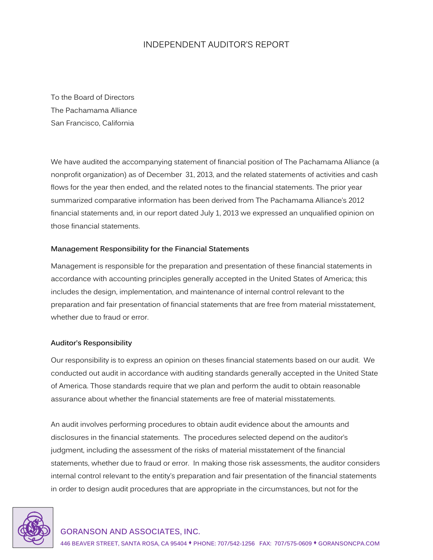## INDEPENDENT AUDITOR'S REPORT

To the Board of Directors The Pachamama Alliance San Francisco, California

We have audited the accompanying statement of financial position of The Pachamama Alliance (a nonprofit organization) as of December 31, 2013, and the related statements of activities and cash flows for the year then ended, and the related notes to the financial statements. The prior year summarized comparative information has been derived from The Pachamama Alliance's 2012 financial statements and, in our report dated July 1, 2013 we expressed an unqualified opinion on those financial statements.

#### **Management Responsibility for the Financial Statements**

Management is responsible for the preparation and presentation of these financial statements in accordance with accounting principles generally accepted in the United States of America; this includes the design, implementation, and maintenance of internal control relevant to the preparation and fair presentation of financial statements that are free from material misstatement, whether due to fraud or error.

#### **Auditor's Responsibility**

Our responsibility is to express an opinion on theses financial statements based on our audit. We conducted out audit in accordance with auditing standards generally accepted in the United State of America. Those standards require that we plan and perform the audit to obtain reasonable assurance about whether the financial statements are free of material misstatements.

An audit involves performing procedures to obtain audit evidence about the amounts and disclosures in the financial statements. The procedures selected depend on the auditor's judgment, including the assessment of the risks of material misstatement of the financial statements, whether due to fraud or error. In making those risk assessments, the auditor considers internal control relevant to the entity's preparation and fair presentation of the financial statements in order to design audit procedures that are appropriate in the circumstances, but not for the

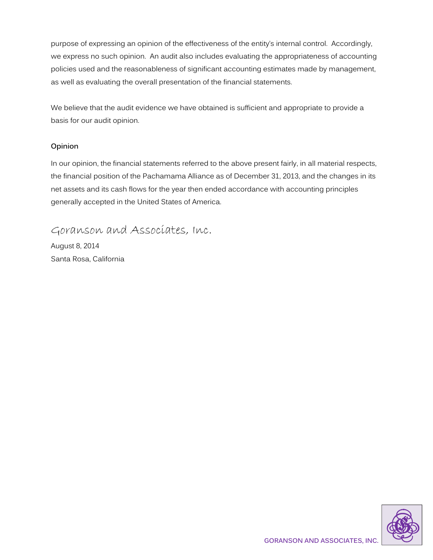purpose of expressing an opinion of the effectiveness of the entity's internal control. Accordingly, we express no such opinion. An audit also includes evaluating the appropriateness of accounting policies used and the reasonableness of significant accounting estimates made by management, as well as evaluating the overall presentation of the financial statements.

We believe that the audit evidence we have obtained is sufficient and appropriate to provide a basis for our audit opinion.

#### **Opinion**

In our opinion, the financial statements referred to the above present fairly, in all material respects, the financial position of the Pachamama Alliance as of December 31, 2013, and the changes in its net assets and its cash flows for the year then ended accordance with accounting principles generally accepted in the United States of America.

Goranson and Associates, Inc.

August 8, 2014 Santa Rosa, California

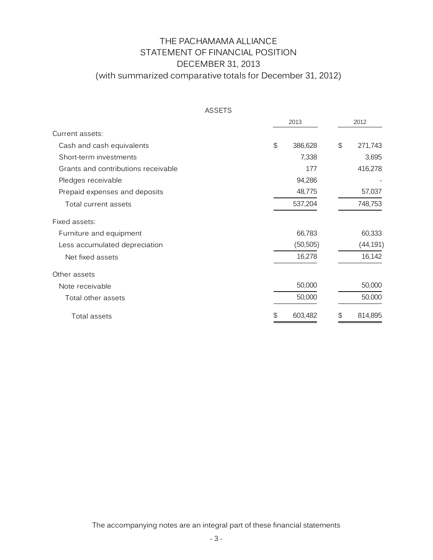# THE PACHAMAMA ALLIANCE STATEMENT OF FINANCIAL POSITION DECEMBER 31, 2013 (with summarized comparative totals for December 31, 2012)

| ASSETS                              |                           |               |
|-------------------------------------|---------------------------|---------------|
|                                     | 2013                      | 2012          |
| Current assets:                     |                           |               |
| Cash and cash equivalents           | $\mathfrak{P}$<br>386,628 | \$<br>271,743 |
| Short-term investments              | 7,338                     | 3,695         |
| Grants and contributions receivable | 177                       | 416,278       |
| Pledges receivable                  | 94,286                    |               |
| Prepaid expenses and deposits       | 48,775                    | 57,037        |
| Total current assets                | 537,204                   | 748,753       |
| Fixed assets:                       |                           |               |
| Furniture and equipment             | 66,783                    | 60,333        |
| Less accumulated depreciation       | (50, 505)                 | (44, 191)     |
| Net fixed assets                    | 16,278                    | 16,142        |
| Other assets                        |                           |               |
| Note receivable                     | 50,000                    | 50,000        |
| Total other assets                  | 50,000                    | 50,000        |
| Total assets                        | 603,482<br>S              | 814,895<br>S. |

The accompanying notes are an integral part of these financial statements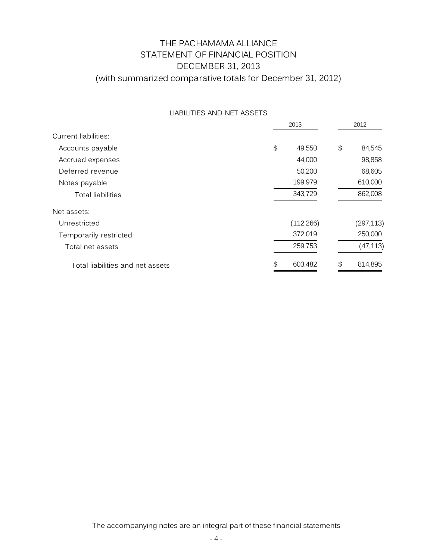# THE PACHAMAMA ALLIANCE STATEMENT OF FINANCIAL POSITION DECEMBER 31, 2013 (with summarized comparative totals for December 31, 2012)

|                                  | 2013                                          |            |    | 2012       |  |  |
|----------------------------------|-----------------------------------------------|------------|----|------------|--|--|
| Current liabilities:             |                                               |            |    |            |  |  |
| Accounts payable                 | $\, \, \raisebox{12pt}{$\scriptstyle \circ$}$ | 49,550     | \$ | 84,545     |  |  |
| Accrued expenses                 |                                               | 44,000     |    | 98,858     |  |  |
| Deferred revenue                 |                                               | 50,200     |    | 68,605     |  |  |
| Notes payable                    |                                               | 199,979    |    | 610,000    |  |  |
| <b>Total liabilities</b>         |                                               | 343,729    |    | 862,008    |  |  |
| Net assets:                      |                                               |            |    |            |  |  |
| Unrestricted                     |                                               | (112, 266) |    | (297, 113) |  |  |
| Temporarily restricted           |                                               | 372,019    |    | 250,000    |  |  |
| Total net assets                 |                                               | 259,753    |    | (47, 113)  |  |  |
| Total liabilities and net assets | \$                                            | 603,482    | \$ | 814,895    |  |  |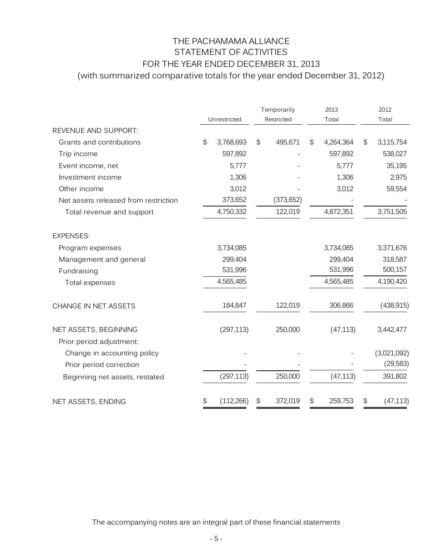# THE PACHAMAMA ALLIANCE STATEMENT OF ACTIVITIES FOR THE YEAR ENDED DECEMBER 31, 2013 (with summarized comparative totals for the year ended December 31, 2012)

|                                      | Unrestricted |            | Temporarily<br>Restricted |            | 2013<br>Total |           | 2012<br>Total |             |
|--------------------------------------|--------------|------------|---------------------------|------------|---------------|-----------|---------------|-------------|
| REVENUE AND SUPPORT:                 |              |            |                           |            |               |           |               |             |
| Grants and contributions             | \$           | 3,768,693  | \$                        | 495,671    | \$            | 4,264,364 | \$            | 3,115,754   |
| Trip income                          |              | 597,892    |                           |            |               | 597,892   |               | 538,027     |
| Event income, net                    |              | 5,777      |                           |            |               | 5,777     |               | 35,195      |
| Investment income                    |              | 1,306      |                           |            |               | 1,306     |               | 2,975       |
| Other income                         |              | 3,012      |                           |            |               | 3,012     |               | 59,554      |
| Net assets released from restriction |              | 373,652    |                           | (373, 652) |               |           |               |             |
| Total revenue and support            |              | 4,750,332  |                           | 122,019    |               | 4,872,351 |               | 3,751,505   |
| <b>EXPENSES:</b>                     |              |            |                           |            |               |           |               |             |
| Program expenses                     |              | 3,734,085  |                           |            |               | 3,734,085 |               | 3,371,676   |
| Management and general               |              | 299,404    |                           |            |               | 299,404   |               | 318,587     |
| Fundraising                          |              | 531,996    |                           |            |               | 531,996   |               | 500,157     |
| Total expenses                       |              | 4,565,485  |                           |            |               | 4,565,485 |               | 4,190,420   |
| CHANGE IN NET ASSETS                 |              | 184,847    |                           | 122,019    |               | 306,866   |               | (438, 915)  |
| NET ASSETS, BEGINNING                |              | (297, 113) |                           | 250,000    |               | (47, 113) |               | 3,442,477   |
| Prior period adjustment:             |              |            |                           |            |               |           |               |             |
| Change in accounting policy          |              |            |                           |            |               |           |               | (3,021,092) |
| Prior period correction              |              |            |                           |            |               |           |               | (29, 583)   |
| Beginning net assets, restated       |              | (297, 113) |                           | 250,000    |               | (47, 113) |               | 391,802     |
| NET ASSETS, ENDING                   | \$           | (112, 266) | \$                        | 372,019    | \$            | 259,753   | \$            | (47, 113)   |

The accompanying notes are an integral part of these financial statements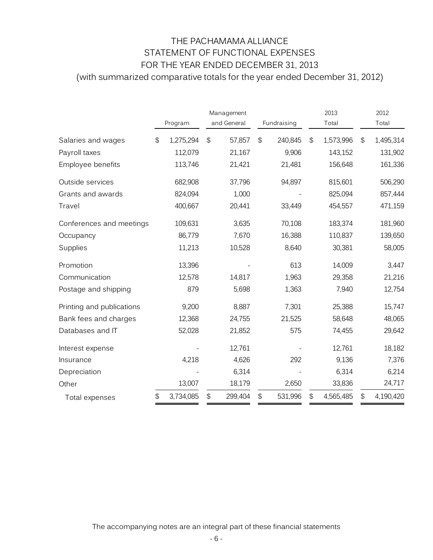# THE PACHAMAMA ALLIANCE STATEMENT OF FUNCTIONAL EXPENSES FOR THE YEAR ENDED DECEMBER 31, 2013 (with summarized comparative totals for the year ended December 31, 2012)

|                           | Program         | Management<br>and General |                | Fundraising | 2013<br>Total   |                            | 2012<br>Total |
|---------------------------|-----------------|---------------------------|----------------|-------------|-----------------|----------------------------|---------------|
| Salaries and wages        | \$<br>1,275,294 | \$<br>57,857              | $\mathfrak{S}$ | 240,845     | \$<br>1,573,996 | $\mathfrak{S}$             | 1,495,314     |
| Payroll taxes             | 112,079         | 21,167                    |                | 9,906       | 143,152         |                            | 131,902       |
| Employee benefits         | 113,746         | 21,421                    |                | 21,481      | 156,648         |                            | 161,336       |
| Outside services          | 682,908         | 37,796                    |                | 94,897      | 815,601         |                            | 506,290       |
| Grants and awards         | 824,094         | 1,000                     |                |             | 825,094         |                            | 857,444       |
| Travel                    | 400,667         | 20,441                    |                | 33,449      | 454,557         |                            | 471,159       |
| Conferences and meetings  | 109,631         | 3,635                     |                | 70,108      | 183,374         |                            | 181,960       |
| Occupancy                 | 86,779          | 7,670                     |                | 16,388      | 110,837         |                            | 139,650       |
| Supplies                  | 11,213          | 10,528                    |                | 8,640       | 30,381          |                            | 58,005        |
| Promotion                 | 13,396          |                           |                | 613         | 14,009          |                            | 3,447         |
| Communication             | 12,578          | 14,817                    |                | 1,963       | 29,358          |                            | 21,216        |
| Postage and shipping      | 879             | 5,698                     |                | 1,363       | 7,940           |                            | 12,754        |
| Printing and publications | 9,200           | 8,887                     |                | 7,301       | 25,388          |                            | 15,747        |
| Bank fees and charges     | 12,368          | 24,755                    |                | 21,525      | 58,648          |                            | 48,065        |
| Databases and IT          | 52,028          | 21,852                    |                | 575         | 74,455          |                            | 29,642        |
| Interest expense          |                 | 12,761                    |                |             | 12,761          |                            | 18,182        |
| Insurance                 | 4,218           | 4,626                     |                | 292         | 9,136           |                            | 7,376         |
| Depreciation              |                 | 6,314                     |                |             | 6,314           |                            | 6,214         |
| Other                     | 13,007          | 18,179                    |                | 2,650       | 33,836          |                            | 24,717        |
| Total expenses            | \$<br>3,734,085 | \$<br>299,404             | $\mathfrak{P}$ | 531,996     | \$<br>4,565,485 | $\boldsymbol{\mathsf{\$}}$ | 4,190,420     |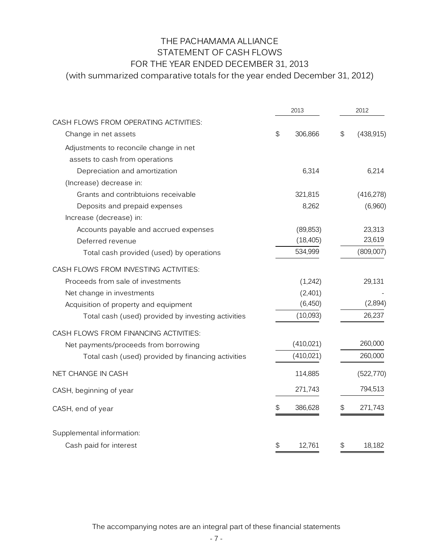# THE PACHAMAMA ALLIANCE STATEMENT OF CASH FLOWS FOR THE YEAR ENDED DECEMBER 31, 2013

(with summarized comparative totals for the year ended December 31, 2012)

|                                                    | 2013 |            |    | 2012       |  |  |
|----------------------------------------------------|------|------------|----|------------|--|--|
| CASH FLOWS FROM OPERATING ACTIVITIES:              |      |            |    |            |  |  |
| Change in net assets                               | \$   | 306,866    | \$ | (438, 915) |  |  |
| Adjustments to reconcile change in net             |      |            |    |            |  |  |
| assets to cash from operations                     |      |            |    |            |  |  |
| Depreciation and amortization                      |      | 6,314      |    | 6,214      |  |  |
| (Increase) decrease in:                            |      |            |    |            |  |  |
| Grants and contribtuions receivable                |      | 321,815    |    | (416, 278) |  |  |
| Deposits and prepaid expenses                      |      | 8,262      |    | (6,960)    |  |  |
| Increase (decrease) in:                            |      |            |    |            |  |  |
| Accounts payable and accrued expenses              |      | (89, 853)  |    | 23,313     |  |  |
| Deferred revenue                                   |      | (18, 405)  |    | 23,619     |  |  |
| Total cash provided (used) by operations           |      | 534,999    |    | (809,007)  |  |  |
| CASH FLOWS FROM INVESTING ACTIVITIES:              |      |            |    |            |  |  |
| Proceeds from sale of investments                  |      | (1,242)    |    | 29,131     |  |  |
| Net change in investments                          |      | (2,401)    |    |            |  |  |
| Acquisition of property and equipment              |      | (2,894)    |    |            |  |  |
| Total cash (used) provided by investing activities |      | (10,093)   |    | 26,237     |  |  |
| CASH FLOWS FROM FINANCING ACTIVITIES:              |      |            |    |            |  |  |
| Net payments/proceeds from borrowing               |      | (410, 021) |    | 260,000    |  |  |
| Total cash (used) provided by financing activities |      | (410, 021) |    | 260,000    |  |  |
| NET CHANGE IN CASH                                 |      | 114,885    |    | (522, 770) |  |  |
| CASH, beginning of year                            |      | 271,743    |    | 794,513    |  |  |
| CASH, end of year                                  | \$   | 386,628    | \$ | 271,743    |  |  |
| Supplemental information:                          |      |            |    |            |  |  |
| Cash paid for interest                             | \$   | 12,761     | \$ | 18,182     |  |  |

The accompanying notes are an integral part of these financial statements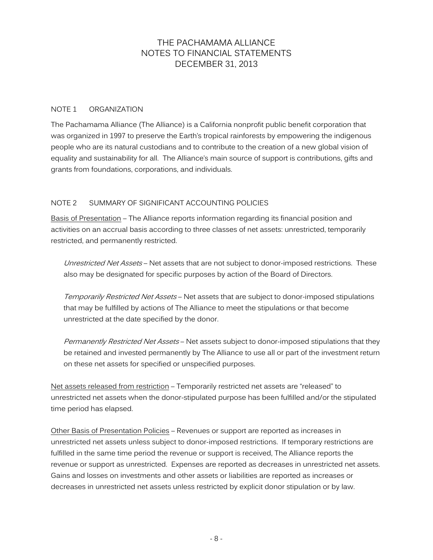#### NOTE 1 ORGANIZATION

The Pachamama Alliance (The Alliance) is a California nonprofit public benefit corporation that was organized in 1997 to preserve the Earth's tropical rainforests by empowering the indigenous people who are its natural custodians and to contribute to the creation of a new global vision of equality and sustainability for all. The Alliance's main source of support is contributions, gifts and grants from foundations, corporations, and individuals.

#### NOTE 2 SUMMARY OF SIGNIFICANT ACCOUNTING POLICIES

Basis of Presentation – The Alliance reports information regarding its financial position and activities on an accrual basis according to three classes of net assets: unrestricted, temporarily restricted, and permanently restricted.

Unrestricted Net Assets – Net assets that are not subject to donor-imposed restrictions. These also may be designated for specific purposes by action of the Board of Directors.

Temporarily Restricted Net Assets – Net assets that are subject to donor-imposed stipulations that may be fulfilled by actions of The Alliance to meet the stipulations or that become unrestricted at the date specified by the donor.

Permanently Restricted Net Assets – Net assets subject to donor-imposed stipulations that they be retained and invested permanently by The Alliance to use all or part of the investment return on these net assets for specified or unspecified purposes.

Net assets released from restriction – Temporarily restricted net assets are "released" to unrestricted net assets when the donor-stipulated purpose has been fulfilled and/or the stipulated time period has elapsed.

Other Basis of Presentation Policies – Revenues or support are reported as increases in unrestricted net assets unless subject to donor-imposed restrictions. If temporary restrictions are fulfilled in the same time period the revenue or support is received, The Alliance reports the revenue or support as unrestricted. Expenses are reported as decreases in unrestricted net assets. Gains and losses on investments and other assets or liabilities are reported as increases or decreases in unrestricted net assets unless restricted by explicit donor stipulation or by law.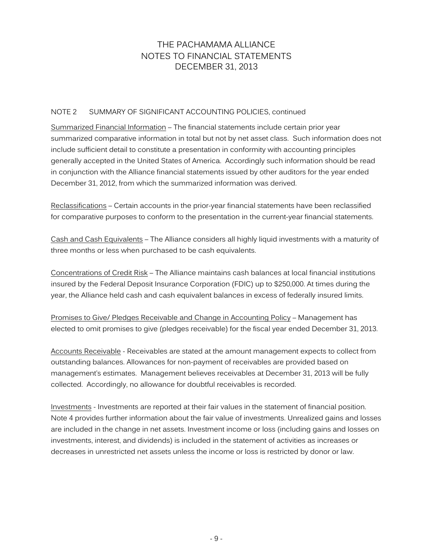#### NOTE 2 SUMMARY OF SIGNIFICANT ACCOUNTING POLICIES, continued

Summarized Financial Information – The financial statements include certain prior year summarized comparative information in total but not by net asset class. Such information does not include sufficient detail to constitute a presentation in conformity with accounting principles generally accepted in the United States of America. Accordingly such information should be read in conjunction with the Alliance financial statements issued by other auditors for the year ended December 31, 2012, from which the summarized information was derived.

Reclassifications – Certain accounts in the prior-year financial statements have been reclassified for comparative purposes to conform to the presentation in the current-year financial statements.

Cash and Cash Equivalents – The Alliance considers all highly liquid investments with a maturity of three months or less when purchased to be cash equivalents.

Concentrations of Credit Risk – The Alliance maintains cash balances at local financial institutions insured by the Federal Deposit Insurance Corporation (FDIC) up to \$250,000. At times during the year, the Alliance held cash and cash equivalent balances in excess of federally insured limits.

Promises to Give/ Pledges Receivable and Change in Accounting Policy – Management has elected to omit promises to give (pledges receivable) for the fiscal year ended December 31, 2013.

Accounts Receivable - Receivables are stated at the amount management expects to collect from outstanding balances. Allowances for non-payment of receivables are provided based on management's estimates. Management believes receivables at December 31, 2013 will be fully collected. Accordingly, no allowance for doubtful receivables is recorded.

Investments - Investments are reported at their fair values in the statement of financial position. Note 4 provides further information about the fair value of investments. Unrealized gains and losses are included in the change in net assets. Investment income or loss (including gains and losses on investments, interest, and dividends) is included in the statement of activities as increases or decreases in unrestricted net assets unless the income or loss is restricted by donor or law.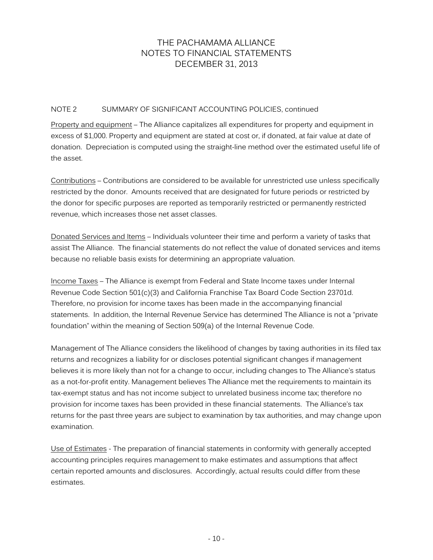#### NOTE 2 SUMMARY OF SIGNIFICANT ACCOUNTING POLICIES, continued

Property and equipment – The Alliance capitalizes all expenditures for property and equipment in excess of \$1,000. Property and equipment are stated at cost or, if donated, at fair value at date of donation. Depreciation is computed using the straight-line method over the estimated useful life of the asset.

Contributions – Contributions are considered to be available for unrestricted use unless specifically restricted by the donor. Amounts received that are designated for future periods or restricted by the donor for specific purposes are reported as temporarily restricted or permanently restricted revenue, which increases those net asset classes.

Donated Services and Items – Individuals volunteer their time and perform a variety of tasks that assist The Alliance. The financial statements do not reflect the value of donated services and items because no reliable basis exists for determining an appropriate valuation.

Income Taxes – The Alliance is exempt from Federal and State Income taxes under Internal Revenue Code Section 501(c)(3) and California Franchise Tax Board Code Section 23701d. Therefore, no provision for income taxes has been made in the accompanying financial statements. In addition, the Internal Revenue Service has determined The Alliance is not a "private foundation" within the meaning of Section 509(a) of the Internal Revenue Code.

Management of The Alliance considers the likelihood of changes by taxing authorities in its filed tax returns and recognizes a liability for or discloses potential significant changes if management believes it is more likely than not for a change to occur, including changes to The Alliance's status as a not-for-profit entity. Management believes The Alliance met the requirements to maintain its tax-exempt status and has not income subject to unrelated business income tax; therefore no provision for income taxes has been provided in these financial statements. The Alliance's tax returns for the past three years are subject to examination by tax authorities, and may change upon examination.

Use of Estimates - The preparation of financial statements in conformity with generally accepted accounting principles requires management to make estimates and assumptions that affect certain reported amounts and disclosures. Accordingly, actual results could differ from these estimates.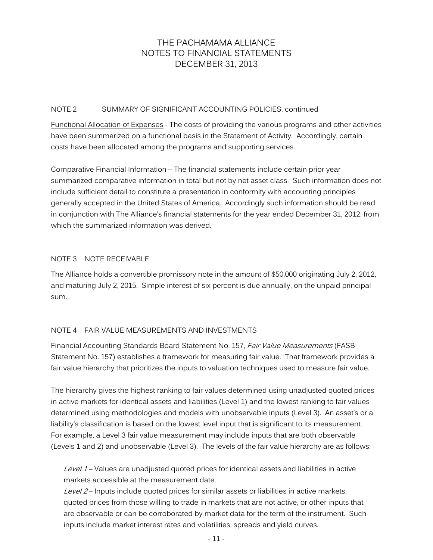#### NOTE 2 SUMMARY OF SIGNIFICANT ACCOUNTING POLICIES, continued

Functional Allocation of Expenses - The costs of providing the various programs and other activities have been summarized on a functional basis in the Statement of Activity. Accordingly, certain costs have been allocated among the programs and supporting services.

Comparative Financial Information – The financial statements include certain prior year summarized comparative information in total but not by net asset class. Such information does not include sufficient detail to constitute a presentation in conformity with accounting principles generally accepted in the United States of America. Accordingly such information should be read in conjunction with The Alliance's financial statements for the year ended December 31, 2012, from which the summarized information was derived.

#### NOTE 3 NOTE RECEIVABLE

The Alliance holds a convertible promissory note in the amount of \$50,000 originating July 2, 2012, and maturing July 2, 2015. Simple interest of six percent is due annually, on the unpaid principal sum.

#### NOTE 4 FAIR VALUE MEASUREMENTS AND INVESTMENTS

Financial Accounting Standards Board Statement No. 157, Fair Value Measurements (FASB Statement No. 157) establishes a framework for measuring fair value. That framework provides a fair value hierarchy that prioritizes the inputs to valuation techniques used to measure fair value.

The hierarchy gives the highest ranking to fair values determined using unadjusted quoted prices in active markets for identical assets and liabilities (Level 1) and the lowest ranking to fair values determined using methodologies and models with unobservable inputs (Level 3). An asset's or a liability's classification is based on the lowest level input that is significant to its measurement. For example, a Level 3 fair value measurement may include inputs that are both observable (Levels 1 and 2) and unobservable (Level 3). The levels of the fair value hierarchy are as follows:

Level  $1$  – Values are unadjusted quoted prices for identical assets and liabilities in active markets accessible at the measurement date.

Level 2 – Inputs include quoted prices for similar assets or liabilities in active markets, quoted prices from those willing to trade in markets that are not active, or other inputs that are observable or can be corroborated by market data for the term of the instrument. Such inputs include market interest rates and volatilities, spreads and yield curves.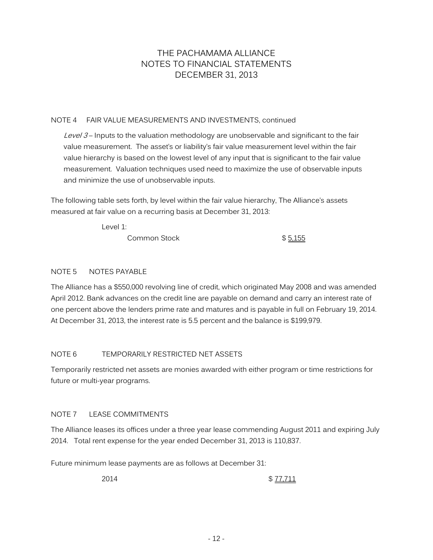#### NOTE 4 FAIR VALUE MEASUREMENTS AND INVESTMENTS, continued

Level  $3$  – Inputs to the valuation methodology are unobservable and significant to the fair value measurement. The asset's or liability's fair value measurement level within the fair value hierarchy is based on the lowest level of any input that is significant to the fair value measurement. Valuation techniques used need to maximize the use of observable inputs and minimize the use of unobservable inputs.

The following table sets forth, by level within the fair value hierarchy, The Alliance's assets measured at fair value on a recurring basis at December 31, 2013:

Level 1:

Common Stock \$5,155

#### NOTE 5 NOTES PAYABLE

The Alliance has a \$550,000 revolving line of credit, which originated May 2008 and was amended April 2012. Bank advances on the credit line are payable on demand and carry an interest rate of one percent above the lenders prime rate and matures and is payable in full on February 19, 2014. At December 31, 2013, the interest rate is 5.5 percent and the balance is \$199,979.

#### NOTE 6 TEMPORARILY RESTRICTED NET ASSETS

Temporarily restricted net assets are monies awarded with either program or time restrictions for future or multi-year programs.

#### NOTE 7 LEASE COMMITMENTS

The Alliance leases its offices under a three year lease commending August 2011 and expiring July 2014. Total rent expense for the year ended December 31, 2013 is 110,837.

Future minimum lease payments are as follows at December 31:

2014 \$77,711